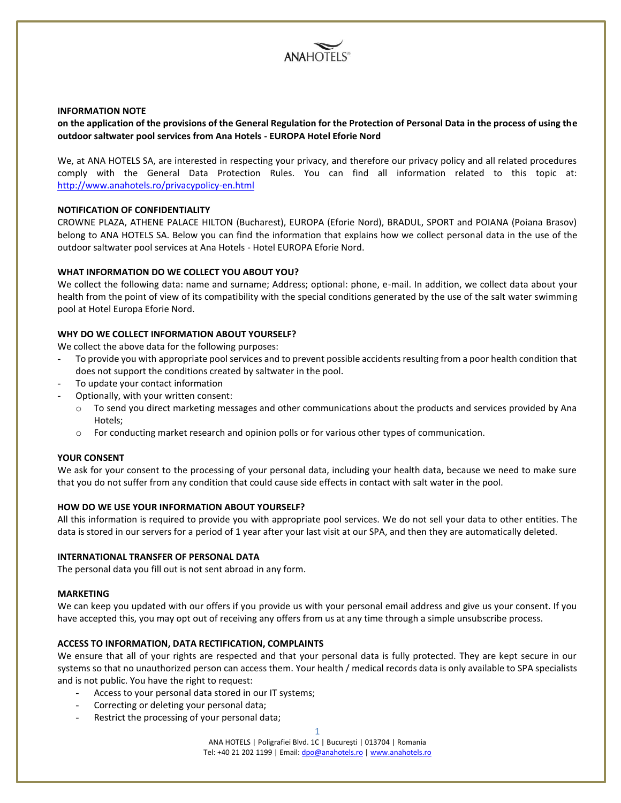

### **INFORMATION NOTE**

# **on the application of the provisions of the General Regulation for the Protection of Personal Data in the process of using the outdoor saltwater pool services from Ana Hotels - EUROPA Hotel Eforie Nord**

We, at ANA HOTELS SA, are interested in respecting your privacy, and therefore our privacy policy and all related procedures comply with the General Data Protection Rules. You can find all information related to this topic at: <http://www.anahotels.ro/privacypolicy-en.html>

## **NOTIFICATION OF CONFIDENTIALITY**

CROWNE PLAZA, ATHENE PALACE HILTON (Bucharest), EUROPA (Eforie Nord), BRADUL, SPORT and POIANA (Poiana Brasov) belong to ANA HOTELS SA. Below you can find the information that explains how we collect personal data in the use of the outdoor saltwater pool services at Ana Hotels - Hotel EUROPA Eforie Nord.

## **WHAT INFORMATION DO WE COLLECT YOU ABOUT YOU?**

We collect the following data: name and surname; Address; optional: phone, e-mail. In addition, we collect data about your health from the point of view of its compatibility with the special conditions generated by the use of the salt water swimming pool at Hotel Europa Eforie Nord.

## **WHY DO WE COLLECT INFORMATION ABOUT YOURSELF?**

We collect the above data for the following purposes:

- To provide you with appropriate pool services and to prevent possible accidents resulting from a poor health condition that does not support the conditions created by saltwater in the pool.
- To update your contact information
- Optionally, with your written consent:
	- $\circ$  To send you direct marketing messages and other communications about the products and services provided by Ana Hotels;
	- o For conducting market research and opinion polls or for various other types of communication.

#### **YOUR CONSENT**

We ask for your consent to the processing of your personal data, including your health data, because we need to make sure that you do not suffer from any condition that could cause side effects in contact with salt water in the pool.

## **HOW DO WE USE YOUR INFORMATION ABOUT YOURSELF?**

All this information is required to provide you with appropriate pool services. We do not sell your data to other entities. The data is stored in our servers for a period of 1 year after your last visit at our SPA, and then they are automatically deleted.

## **INTERNATIONAL TRANSFER OF PERSONAL DATA**

The personal data you fill out is not sent abroad in any form.

#### **MARKETING**

We can keep you updated with our offers if you provide us with your personal email address and give us your consent. If you have accepted this, you may opt out of receiving any offers from us at any time through a simple unsubscribe process.

#### **ACCESS TO INFORMATION, DATA RECTIFICATION, COMPLAINTS**

We ensure that all of your rights are respected and that your personal data is fully protected. They are kept secure in our systems so that no unauthorized person can access them. Your health / medical records data is only available to SPA specialists and is not public. You have the right to request:

- Access to your personal data stored in our IT systems;
- Correcting or deleting your personal data;
- Restrict the processing of your personal data;

1

ANA HOTELS | Poligrafiei Blvd. 1C | București | 013704 | Romania Tel: +40 21 202 1199 | Email[: dpo@anahotels.ro](mailto:dpo@anahotels.ro) [| www.anahotels.ro](http://www.anahotels.ro/)